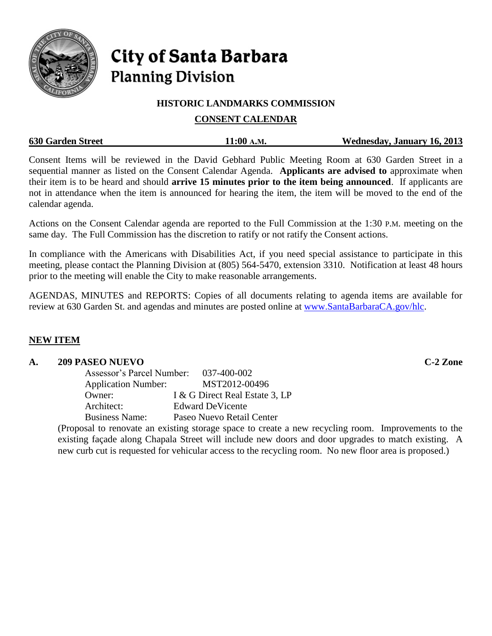

# City of Santa Barbara **Planning Division**

## **HISTORIC LANDMARKS COMMISSION**

# **CONSENT CALENDAR**

|  | <b>630 Garden Street</b> | 11:00 A.M. | Wednesday, January 16, 2013 |
|--|--------------------------|------------|-----------------------------|
|--|--------------------------|------------|-----------------------------|

Consent Items will be reviewed in the David Gebhard Public Meeting Room at 630 Garden Street in a sequential manner as listed on the Consent Calendar Agenda. **Applicants are advised to** approximate when their item is to be heard and should **arrive 15 minutes prior to the item being announced**. If applicants are not in attendance when the item is announced for hearing the item, the item will be moved to the end of the calendar agenda.

Actions on the Consent Calendar agenda are reported to the Full Commission at the 1:30 P.M. meeting on the same day. The Full Commission has the discretion to ratify or not ratify the Consent actions.

In compliance with the Americans with Disabilities Act, if you need special assistance to participate in this meeting, please contact the Planning Division at (805) 564-5470, extension 3310. Notification at least 48 hours prior to the meeting will enable the City to make reasonable arrangements.

AGENDAS, MINUTES and REPORTS: Copies of all documents relating to agenda items are available for review at 630 Garden St. and agendas and minutes are posted online at [www.SantaBarbaraCA.gov/hlc.](http://www.santabarbaraca.gov/hlc)

## **NEW ITEM**

#### **A. 209 PASEO NUEVO C-2 Zone**

| Assessor's Parcel Number:  | 037-400-002                    |
|----------------------------|--------------------------------|
| <b>Application Number:</b> | MST2012-00496                  |
| Owner:                     | I & G Direct Real Estate 3, LP |
| Architect:                 | <b>Edward DeVicente</b>        |
| <b>Business Name:</b>      | Paseo Nuevo Retail Center      |

(Proposal to renovate an existing storage space to create a new recycling room. Improvements to the existing façade along Chapala Street will include new doors and door upgrades to match existing. A new curb cut is requested for vehicular access to the recycling room. No new floor area is proposed.)